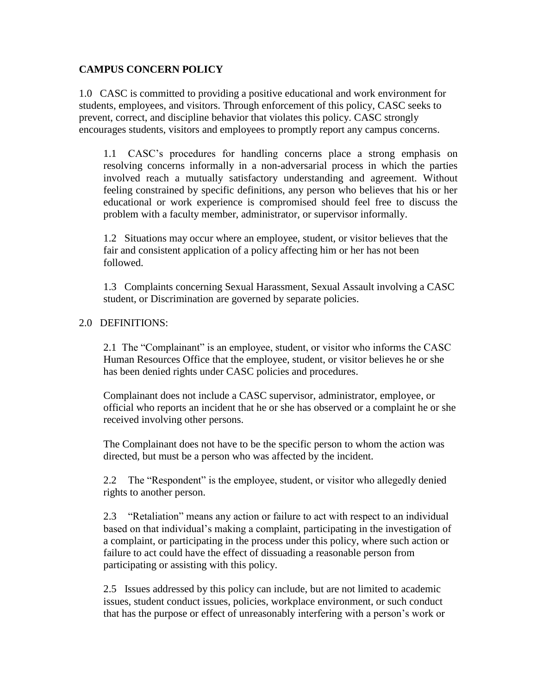## **CAMPUS CONCERN POLICY**

1.0 CASC is committed to providing a positive educational and work environment for students, employees, and visitors. Through enforcement of this policy, CASC seeks to prevent, correct, and discipline behavior that violates this policy. CASC strongly encourages students, visitors and employees to promptly report any campus concerns.

1.1 CASC's procedures for handling concerns place a strong emphasis on resolving concerns informally in a non-adversarial process in which the parties involved reach a mutually satisfactory understanding and agreement. Without feeling constrained by specific definitions, any person who believes that his or her educational or work experience is compromised should feel free to discuss the problem with a faculty member, administrator, or supervisor informally.

1.2 Situations may occur where an employee, student, or visitor believes that the fair and consistent application of a policy affecting him or her has not been followed.

1.3 Complaints concerning Sexual Harassment, Sexual Assault involving a CASC student, or Discrimination are governed by separate policies.

## 2.0 DEFINITIONS:

2.1 The "Complainant" is an employee, student, or visitor who informs the CASC Human Resources Office that the employee, student, or visitor believes he or she has been denied rights under CASC policies and procedures.

Complainant does not include a CASC supervisor, administrator, employee, or official who reports an incident that he or she has observed or a complaint he or she received involving other persons.

The Complainant does not have to be the specific person to whom the action was directed, but must be a person who was affected by the incident.

2.2 The "Respondent" is the employee, student, or visitor who allegedly denied rights to another person.

2.3 "Retaliation" means any action or failure to act with respect to an individual based on that individual's making a complaint, participating in the investigation of a complaint, or participating in the process under this policy, where such action or failure to act could have the effect of dissuading a reasonable person from participating or assisting with this policy.

2.5 Issues addressed by this policy can include, but are not limited to academic issues, student conduct issues, policies, workplace environment, or such conduct that has the purpose or effect of unreasonably interfering with a person's work or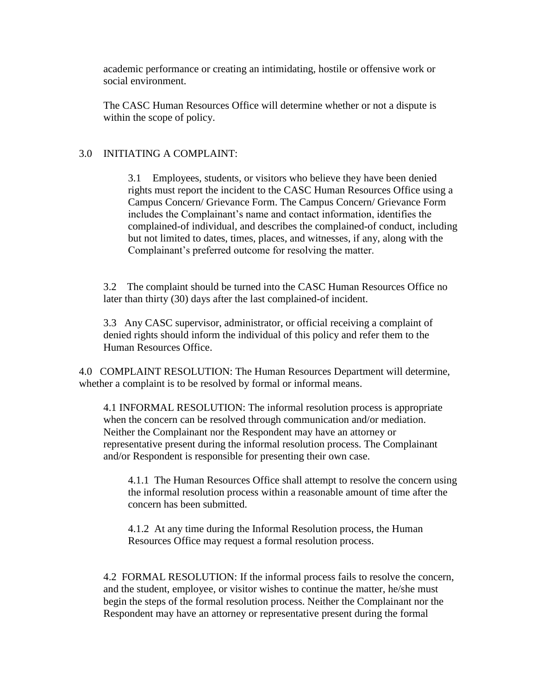academic performance or creating an intimidating, hostile or offensive work or social environment.

The CASC Human Resources Office will determine whether or not a dispute is within the scope of policy.

## 3.0 INITIATING A COMPLAINT:

3.1 Employees, students, or visitors who believe they have been denied rights must report the incident to the CASC Human Resources Office using a Campus Concern/ Grievance Form. The Campus Concern/ Grievance Form includes the Complainant's name and contact information, identifies the complained-of individual, and describes the complained-of conduct, including but not limited to dates, times, places, and witnesses, if any, along with the Complainant's preferred outcome for resolving the matter.

3.2 The complaint should be turned into the CASC Human Resources Office no later than thirty (30) days after the last complained-of incident.

3.3 Any CASC supervisor, administrator, or official receiving a complaint of denied rights should inform the individual of this policy and refer them to the Human Resources Office.

4.0 COMPLAINT RESOLUTION: The Human Resources Department will determine, whether a complaint is to be resolved by formal or informal means.

4.1 INFORMAL RESOLUTION: The informal resolution process is appropriate when the concern can be resolved through communication and/or mediation. Neither the Complainant nor the Respondent may have an attorney or representative present during the informal resolution process. The Complainant and/or Respondent is responsible for presenting their own case.

4.1.1 The Human Resources Office shall attempt to resolve the concern using the informal resolution process within a reasonable amount of time after the concern has been submitted.

4.1.2 At any time during the Informal Resolution process, the Human Resources Office may request a formal resolution process.

4.2 FORMAL RESOLUTION: If the informal process fails to resolve the concern, and the student, employee, or visitor wishes to continue the matter, he/she must begin the steps of the formal resolution process. Neither the Complainant nor the Respondent may have an attorney or representative present during the formal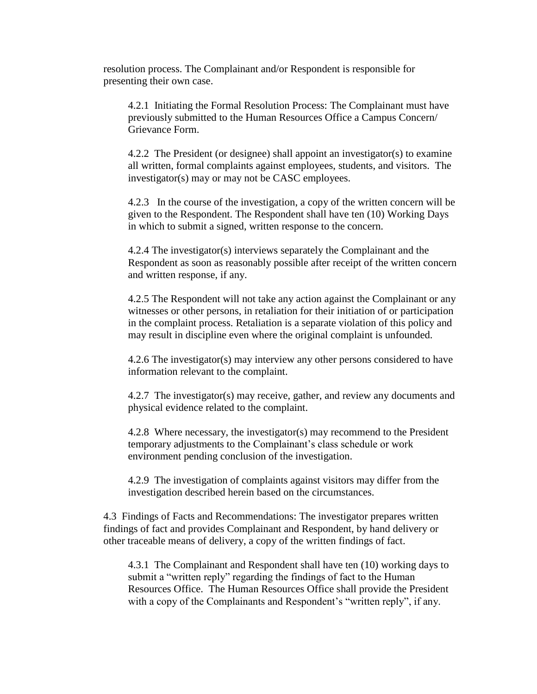resolution process. The Complainant and/or Respondent is responsible for presenting their own case.

4.2.1 Initiating the Formal Resolution Process: The Complainant must have previously submitted to the Human Resources Office a Campus Concern/ Grievance Form.

4.2.2 The President (or designee) shall appoint an investigator(s) to examine all written, formal complaints against employees, students, and visitors. The investigator(s) may or may not be CASC employees.

4.2.3 In the course of the investigation, a copy of the written concern will be given to the Respondent. The Respondent shall have ten (10) Working Days in which to submit a signed, written response to the concern.

4.2.4 The investigator(s) interviews separately the Complainant and the Respondent as soon as reasonably possible after receipt of the written concern and written response, if any.

4.2.5 The Respondent will not take any action against the Complainant or any witnesses or other persons, in retaliation for their initiation of or participation in the complaint process. Retaliation is a separate violation of this policy and may result in discipline even where the original complaint is unfounded.

4.2.6 The investigator(s) may interview any other persons considered to have information relevant to the complaint.

4.2.7 The investigator(s) may receive, gather, and review any documents and physical evidence related to the complaint.

4.2.8 Where necessary, the investigator(s) may recommend to the President temporary adjustments to the Complainant's class schedule or work environment pending conclusion of the investigation.

4.2.9 The investigation of complaints against visitors may differ from the investigation described herein based on the circumstances.

4.3 Findings of Facts and Recommendations: The investigator prepares written findings of fact and provides Complainant and Respondent, by hand delivery or other traceable means of delivery, a copy of the written findings of fact.

4.3.1 The Complainant and Respondent shall have ten (10) working days to submit a "written reply" regarding the findings of fact to the Human Resources Office. The Human Resources Office shall provide the President with a copy of the Complainants and Respondent's "written reply", if any.